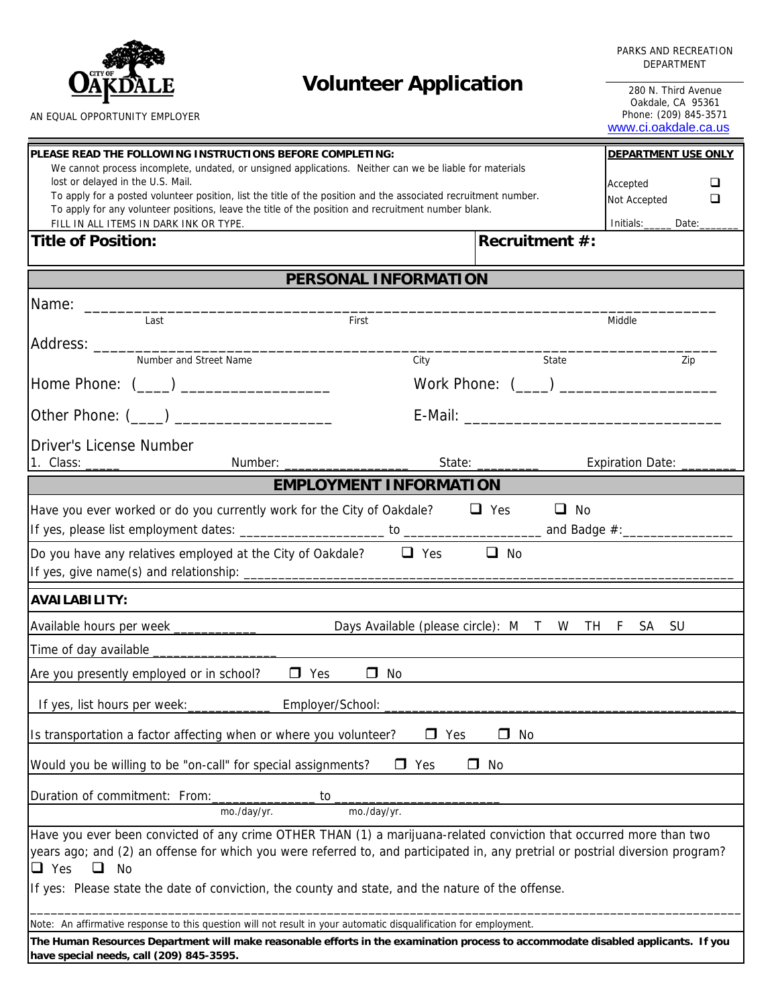

#### PARKS AND RECREATION DEPARTMENT

**Volunteer Application** 280 N. Third Avenue

Oakdale, CA 95361 Phone: (209) 845-3571 [www.ci.oakdale.ca.us](http://www.ci.oakdale.ca.us/)

| PLEASE READ THE FOLLOWING INSTRUCTIONS BEFORE COMPLETING:                                                                                                    | <b>DEPARTMENT USE ONLY</b>     |                                                  |                                         |  |
|--------------------------------------------------------------------------------------------------------------------------------------------------------------|--------------------------------|--------------------------------------------------|-----------------------------------------|--|
| We cannot process incomplete, undated, or unsigned applications. Neither can we be liable for materials                                                      |                                |                                                  |                                         |  |
| lost or delayed in the U.S. Mail.<br>To apply for a posted volunteer position, list the title of the position and the associated recruitment number.         | ⊔<br>Accepted                  |                                                  |                                         |  |
| To apply for any volunteer positions, leave the title of the position and recruitment number blank.                                                          | $\Box$<br>Not Accepted         |                                                  |                                         |  |
| FILL IN ALL ITEMS IN DARK INK OR TYPE.                                                                                                                       | Initials:_______ Date:________ |                                                  |                                         |  |
| <b>Title of Position:</b>                                                                                                                                    |                                | <b>Recruitment #:</b>                            |                                         |  |
|                                                                                                                                                              |                                |                                                  |                                         |  |
|                                                                                                                                                              | PERSONAL INFORMATION           |                                                  |                                         |  |
|                                                                                                                                                              |                                |                                                  |                                         |  |
| Last                                                                                                                                                         | First                          |                                                  | Middle                                  |  |
|                                                                                                                                                              |                                |                                                  |                                         |  |
| Number and Street Name                                                                                                                                       | City                           | State                                            | Zip                                     |  |
| Home Phone: (___) ___________________                                                                                                                        |                                |                                                  | Work Phone: (___) _____________________ |  |
|                                                                                                                                                              |                                |                                                  |                                         |  |
|                                                                                                                                                              |                                |                                                  |                                         |  |
| <b>Driver's License Number</b>                                                                                                                               |                                |                                                  |                                         |  |
|                                                                                                                                                              |                                |                                                  |                                         |  |
|                                                                                                                                                              | <b>EMPLOYMENT INFORMATION</b>  |                                                  |                                         |  |
| Have you ever worked or do you currently work for the City of Oakdale?                                                                                       |                                | $\Box$ Yes                                       | $\Box$ No                               |  |
|                                                                                                                                                              |                                |                                                  |                                         |  |
| Do you have any relatives employed at the City of Oakdale? $\Box$ Yes $\Box$ No                                                                              |                                |                                                  |                                         |  |
|                                                                                                                                                              |                                |                                                  |                                         |  |
|                                                                                                                                                              |                                |                                                  |                                         |  |
| <b>AVAILABILITY:</b>                                                                                                                                         |                                |                                                  |                                         |  |
| Available hours per week _____________                                                                                                                       |                                | Days Available (please circle): M T W TH F SA SU |                                         |  |
|                                                                                                                                                              |                                |                                                  |                                         |  |
| Are you presently employed or in school? $\Box$ Yes                                                                                                          | $\Box$ No                      |                                                  |                                         |  |
|                                                                                                                                                              |                                |                                                  |                                         |  |
| If yes, list hours per week: _____________                                                                                                                   | Employer/School: _____________ |                                                  |                                         |  |
| $\Box$ Yes<br>No<br>Is transportation a factor affecting when or where you volunteer?<br>$\Box$                                                              |                                |                                                  |                                         |  |
| Would you be willing to be "on-call" for special assignments?<br>$\Box$ Yes<br>$\Box$ No                                                                     |                                |                                                  |                                         |  |
|                                                                                                                                                              |                                |                                                  |                                         |  |
| Duration of commitment: From:<br>to                                                                                                                          |                                |                                                  |                                         |  |
| mo./day/yr.<br>mo./day/yr.                                                                                                                                   |                                |                                                  |                                         |  |
| Have you ever been convicted of any crime OTHER THAN (1) a marijuana-related conviction that occurred more than two                                          |                                |                                                  |                                         |  |
| years ago; and (2) an offense for which you were referred to, and participated in, any pretrial or postrial diversion program?<br>$\Box$ Yes<br>$\Box$<br>No |                                |                                                  |                                         |  |
| If yes: Please state the date of conviction, the county and state, and the nature of the offense.                                                            |                                |                                                  |                                         |  |
|                                                                                                                                                              |                                |                                                  |                                         |  |
| Note: An affirmative response to this question will not result in your automatic disqualification for employment.                                            |                                |                                                  |                                         |  |
| The Human Resources Department will make reasonable efforts in the examination process to accommodate disabled applicants. If you                            |                                |                                                  |                                         |  |
| have special needs, call (209) 845-3595.                                                                                                                     |                                |                                                  |                                         |  |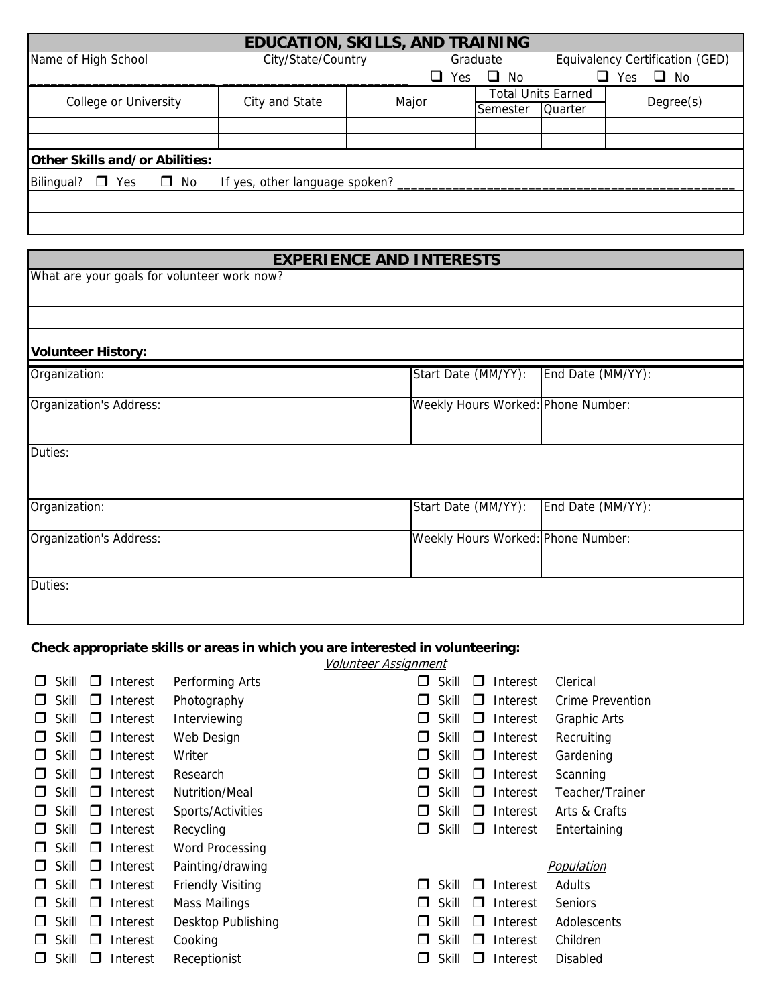| EDUCATION, SKILLS, AND TRAINING             |                                |       |                  |                                 |                   |  |
|---------------------------------------------|--------------------------------|-------|------------------|---------------------------------|-------------------|--|
| Name of High School                         | City/State/Country             |       | Graduate         | Equivalency Certification (GED) |                   |  |
|                                             |                                |       | $\Box$ No<br>Yes |                                 | Yes.<br>$\Box$ No |  |
| College or University                       | City and State                 | Major |                  | <b>Total Units Earned</b>       | Degree(s)         |  |
|                                             |                                |       | Semester         | Quarter                         |                   |  |
|                                             |                                |       |                  |                                 |                   |  |
|                                             |                                |       |                  |                                 |                   |  |
| Other Skills and/or Abilities:              |                                |       |                  |                                 |                   |  |
| Bilingual?<br>$\Box$<br>No<br>$\Box$<br>Yes | If yes, other language spoken? |       |                  |                                 |                   |  |
|                                             |                                |       |                  |                                 |                   |  |
|                                             |                                |       |                  |                                 |                   |  |

# **EXPERIENCE AND INTERESTS**

What are your goals for volunteer work now?

| Organization:                  | Start Date (MM/YY):<br>End Date (MM/YY): |
|--------------------------------|------------------------------------------|
| <b>Organization's Address:</b> | Weekly Hours Worked: Phone Number:       |
|                                |                                          |
| Duties:<br>Organization:       | Start Date (MM/YY):<br>End Date (MM/YY): |

# **Check appropriate skills or areas in which you are interested in volunteering:**

Volunteer Assignment

| Skill | Interest<br>- 1          | Performing Arts          | П             | Skill | n.       | Interest | Clerical         |
|-------|--------------------------|--------------------------|---------------|-------|----------|----------|------------------|
| Skill | Interest<br>$\Box$       | Photography              | $\Box$        | Skill | $\Box$   | Interest | Crime Prevention |
| Skill | Interest<br>$\Box$       | Interviewing             | $\mathsf{L}$  | Skill | $\Box$   | Interest | Graphic Arts     |
| Skill | Interest<br>$\mathsf{L}$ | Web Design               | $\mathsf{L}$  | Skill | $\sqcup$ | Interest | Recruiting       |
| Skill | Interest<br>$\mathbf{L}$ | Writer                   | $\mathbf{L}$  | Skill | $\Box$   | Interest | Gardening        |
| Skill | Interest<br>$\cup$       | Research                 | $\mathsf{L}$  | Skill | $\Box$   | Interest | Scanning         |
| Skill | Interest<br>$\perp$      | <b>Nutrition/Meal</b>    | $\mathsf{L}$  | Skill | H        | Interest | Teacher/Trainer  |
| Skill | Interest<br>$\Box$       | Sports/Activities        | П             | Skill | H        | Interest | Arts & Crafts    |
| Skill | Interest<br>$\Box$       | Recycling                | $\mathsf{L}$  | Skill | l I      | Interest | Entertaining     |
| Skill | Interest<br>O.           | <b>Word Processing</b>   |               |       |          |          |                  |
| Skill | Interest<br>$\Box$       | Painting/drawing         |               |       |          |          | Population       |
| Skill | Interest<br>$\mathbf{L}$ | <b>Friendly Visiting</b> | $\Box$        | Skill | . .      | Interest | Adults           |
| Skill | Interest<br>$\Box$       | Mass Mailings            | $\mathsf{L}$  | Skill | ⊓        | Interest | <b>Seniors</b>   |
| Skill | Interest<br>□            | Desktop Publishing       | n.            | Skill | П        | Interest | Adolescents      |
| Skill | Interest<br>$\mathsf{L}$ | Cooking                  | $\Box$        | Skill | . .      | Interest | Children         |
| Skill | Interest<br>- 1          | Receptionist             | $\mathcal{L}$ | Skill | H        | Interest | <b>Disabled</b>  |
|       |                          |                          |               |       |          |          |                  |